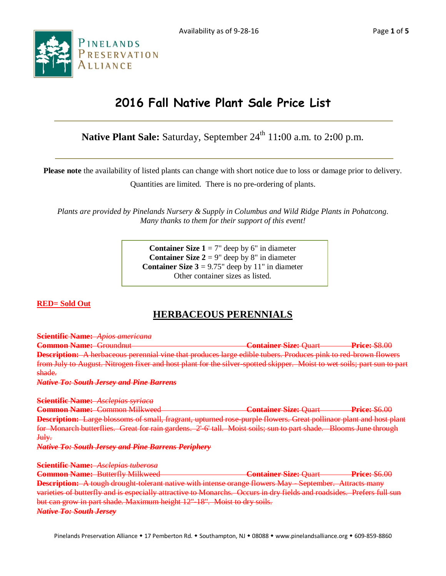Availability as of 9-28-16 Page **1** of **5**



# **2016 Fall Native Plant Sale Price List**

**Native Plant Sale:** Saturday, September 24 th 11**:**00 a.m. to 2**:**00 p.m.

**Please note** the availability of listed plants can change with short notice due to loss or damage prior to delivery.

Quantities are limited. There is no pre-ordering of plants.

*Plants are provided by Pinelands Nursery & Supply in Columbus and Wild Ridge Plants in Pohatcong. Many thanks to them for their support of this event!*

> **Container Size**  $1 = 7$ **" deep by 6" in diameter Container Size**  $2 = 9$ **" deep by 8" in diameter Container Size**  $3 = 9.75$ **" deep by 11" in diameter** Other container sizes as listed.

# **RED= Sold Out**

# **HERBACEOUS PERENNIALS**

**Scientific Name:** *Apios americana* 

**Common Name:** Groundnut **Container Size:** Quart **Price:** \$8.00 **Description:** A herbaceous perennial vine that produces large edible tubers. Produces pink to red-brown flowers from July to August. Nitrogen fixer and host plant for the silver-spotted skipper. Moist to wet soils; part sun to part shade.

*Native To: South Jersey and Pine Barrens*

**Scientific Name:** *Asclepias syriaca* **Common Name:** Common Milkweed **Container Size:** Quart **Price:** \$6.00 **Description:** Large blossoms of small, fragrant, upturned rose-purple flowers. Great pollinaor plant and host plant for Monarch butterflies. Great for rain gardens. 2'-6' tall. Moist soils; sun to part shade. Blooms June through July. *Native To: South Jersey and Pine Barrens Periphery*

**Scientific Name:** *Asclepias tuberosa*

**Common Name:** Butterfly Milkweed **Container Size:** Quart **Price:** \$6.00 **Description:** A tough drought-tolerant native with intense orange flowers May - September. Attracts many varieties of butterfly and is especially attractive to Monarchs. Occurs in dry fields and roadsides. Prefers full sun but can grow in part shade. Maximum height 12"-18". Moist to dry soils. *Native To: South Jersey*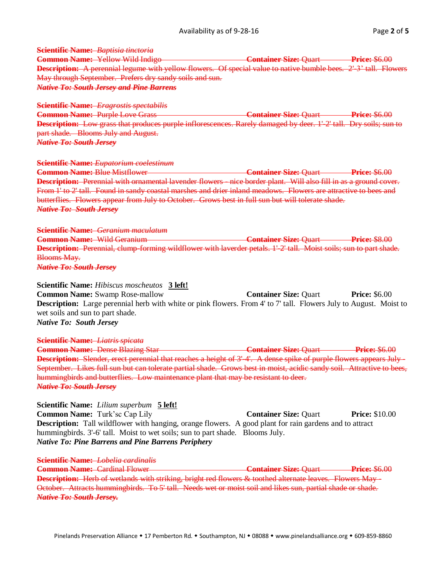### **Scientific Name:** *Baptisia tinctoria*

**Common Name:** Yellow Wild Indigo **Container Size: Ouart Price: \$6.00 Description:** A perennial legume with yellow flowers. Of special value to native bumble bees. 2'-3' tall. Flowers May through September. Prefers dry sandy soils and sun. *Native To: South Jersey and Pine Barrens*

#### **Scientific Name:** *Eragrostis spectabilis*

**Common Name:** Purple Love Grass **Container Size: Quart** Price: \$6.00 **Description:** Low grass that produces purple inflorescences. Rarely damaged by deer. 1'-2' tall. Dry soils; sun to part shade. Blooms July and August. *Native To: South Jersey*

#### **Scientific Name:** *Eupatorium coelestinum*

**Common Name:** Blue Mistflower **Container Size: Quart Price:** \$6.00 **Description:** Perennial with ornamental lavender flowers - nice border plant. Will also fill in as a ground cover. From 1' to 2' tall. Found in sandy coastal marshes and drier inland meadows. Flowers are attractive to bees and butterflies. Flowers appear from July to October. Grows best in full sun but will tolerate shade. *Native To: South Jersey*

### **Scientific Name:** *Geranium maculatum*

**Common Name:** Wild Geranium **Container Size:** Quart **Price:** \$8.00 **Description:** Perennial, clump-forming wildflower with laverder petals. 1'-2' tall. Moist soils; sun to part shade. Blooms May.

*Native To: South Jersey*

# **Scientific Name:** *Hibiscus moscheutos* **3 left! Common Name:** Swamp Rose-mallow **Container Size:** Quart **Price:** \$6.00 **Description:** Large perennial herb with white or pink flowers. From 4' to 7' tall. Flowers July to August. Moist to wet soils and sun to part shade.

*Native To: South Jersey*

#### **Scientific Name:** *Liatris spicata*

**Common Name:** Dense Blazing Star **Container Size:** Quart **Price:** \$6.00 **Description:** Slender, erect perennial that reaches a height of 3'-4'. A dense spike of purple flowers appears July September. Likes full sun but can tolerate partial shade. Grows best in moist, acidic sandy soil. Attractive to bees, hummingbirds and butterflies. Low maintenance plant that may be resistant to deer. *Native To: South Jersey*

### **Scientific Name:** *Lilium superbum* **5 left! Common Name:** Turk'sc Cap Lily **Container Size: Quart Price: \$10.00 Description:** Tall wildflower with hanging, orange flowers. A good plant for rain gardens and to attract hummingbirds. 3'-6' tall. Moist to wet soils; sun to part shade. Blooms July. *Native To: Pine Barrens and Pine Barrens Periphery*

**Scientific Name:** *Lobelia cardinalis* **Common Name:** Cardinal Flower **Container Size:** Quart **Price:** \$6.00 **Description:** Herb of wetlands with striking, bright red flowers & toothed alternate leaves. Flowers May - October. Attracts hummingbirds. To 5' tall. Needs wet or moist soil and likes sun, partial shade or shade. *Native To: South Jersey.*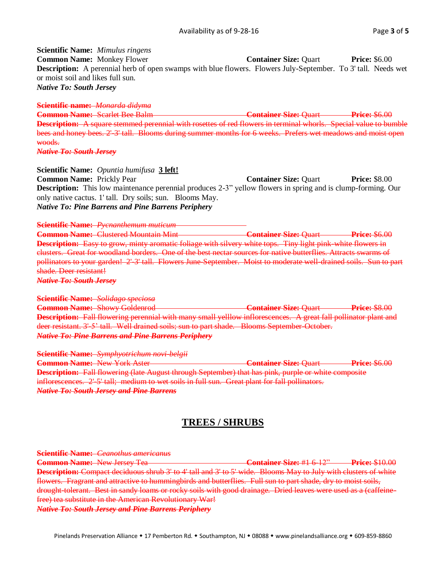**Scientific Name:** *Mimulus ringens* **Common Name:** Monkey Flower **Container Size:** Quart **Price:** \$6.00 **Description:** A perennial herb of open swamps with blue flowers. Flowers July-September. To 3' tall. Needs wet or moist soil and likes full sun. *Native To: South Jersey*

## **Scientific name:** *Monarda didyma*

**Common Name:** Scarlet Bee Balm **Container Size: Quart Price: \$6.00 Description:** A square stemmed perennial with rosettes of red flowers in terminal whorls. Special value to bumble bees and honey bees. 2'-3' tall. Blooms during summer months for 6 weeks. Prefers wet meadows and moist open woods.

*Native To: South Jersey*

**Scientific Name:** *Opuntia humifusa* **3 left!**

**Common Name:** Prickly Pear **Container Size: Quart** Price: \$8.00 **Description:** This low maintenance perennial produces 2-3" yellow flowers in spring and is clump-forming. Our only native cactus. 1' tall. Dry soils; sun. Blooms May. *Native To: Pine Barrens and Pine Barrens Periphery*

**Scientific Name:** *Pycnanthemum muticum* 

**Common Name:** Clustered Mountain Mint **Common Container Size: Ouart Price: \$6.00 Description:** Easy to grow, minty aromatic foliage with silvery white tops. Tiny light pink-white flowers in clusters. Great for woodland borders. One of the best nectar sources for native butterflies. Attracts swarms of pollinators to your garden! 2'-3' tall. Flowers June-September. Moist to moderate well-drained soils. Sun to part shade. Deer resistant!

*Native To: South Jersey*

#### **Scientific Name:** *Solidago speciosa*

**Common Name:** Showy Goldenrod **Container Size:** Quart **Price:** \$8.00 **Description:** Fall flowering perennial with many small yelllow inflorescences. A great fall pollinator plant and deer resistant. 3'-5' tall. Well drained soils; sun to part shade. Blooms September-October. *Native To: Pine Barrens and Pine Barrens Periphery*

**Scientific Name:** *Symphyotrichum novi-belgii* **Common Name:** New York Aster **Container Size:** Quart **Price:** \$6.00 **Description:** Fall flowering (late August through September) that has pink, purple or white composite inflorescences. 2'5' tall; medium to wet soils in full sun. Great plant for fall pollinators. *Native To: South Jersey and Pine Barrens*

# **TREES / SHRUBS**

**Scientific Name:** *Ceanothus americanus* **Common Name:** New Jersey Tea **Container Size:** #1 6-12" **Price:** \$10.00 **Description:** Compact deciduous shrub 3' to 4' tall and 3' to 5' wide. Blooms May to July with clusters of white flowers. Fragrant and attractive to hummingbirds and butterflies. Full sun to part shade, dry to moist soils, drought-tolerant. Best in sandy loams or rocky soils with good drainage. Dried leaves were used as a (caffeinefree) tea substitute in the American Revolutionary War! *Native To: South Jersey and Pine Barrens Periphery*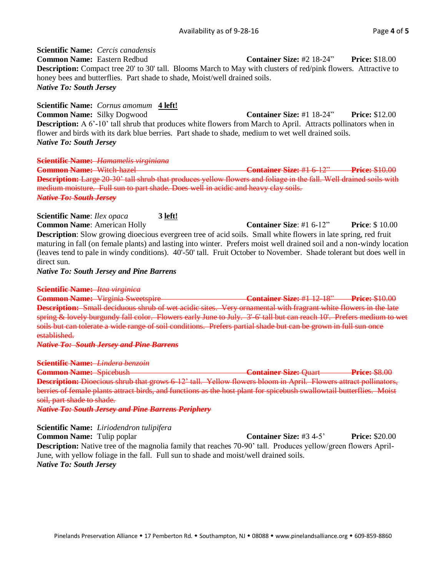**Scientific Name:** *Cercis canadensis* **Common Name:** Eastern Redbud **Container Size:** #2 18-24" **Price:** \$18.00 **Description:** Compact tree 20' to 30' tall. Blooms March to May with clusters of red/pink flowers. Attractive to honey bees and butterflies. Part shade to shade, Moist/well drained soils. *Native To: South Jersey*

**Scientific Name:** *Cornus amomum* **4 left! Common Name:** Silky Dogwood **Container Size:** #1 18-24" **Price:** \$12.00 **Description:** A 6'-10' tall shrub that produces white flowers from March to April. Attracts pollinators when in flower and birds with its dark blue berries. Part shade to shade, medium to wet well drained soils. *Native To: South Jersey*

**Scientific Name:** *Hamamelis virginiana* **Common Name:** Witch-hazel **Container Size:** #1 6-12" **Price:** \$10.00 **Description:** Large 20-30' tall shrub that produces yellow flowers and foliage in the fall. Well drained soils with medium moisture. Full sun to part shade. Does well in acidic and heavy clay soils. *Native To: South Jersey*

**Scientific Name**: *Ilex opaca* **3 left!** 

**Common Name**: American Holly **Container Size**: #1 6-12" **Price**: \$ 10.00 **Description**: Slow growing dioecious evergreen tree of acid soils. Small white flowers in late spring, red fruit maturing in fall (on female plants) and lasting into winter. Prefers moist well drained soil and a non-windy location (leaves tend to pale in windy conditions). 40'-50' tall. Fruit October to November. Shade tolerant but does well in direct sun.

*Native To: South Jersey and Pine Barrens*

#### **Scientific Name:** *Itea virginica*

**Common Name:** Virginia Sweetspire **Container Size:** #1 12-18" **Price:** \$10.00 **Description:** Small deciduous shrub of wet acidic sites. Very ornamental with fragrant white flowers in the late spring & lovely burgundy fall color. Flowers early June to July. 3'-6' tall but can reach 10'. Prefers medium to wet soils but can tolerate a wide range of soil conditions. Prefers partial shade but can be grown in full sun once established.

*Native To: South Jersey and Pine Barrens*

#### **Scientific Name:** *Lindera benzoin*

**Common Name:** Spicebush **Container Size:** Quart **Price:** \$8.00 **Description:** Dioecious shrub that grows 6-12' tall. Yellow flowers bloom in April. Flowers attract pollinators, berries of female plants attract birds, and functions as the host plant for spicebush swallowtail butterflies. Moist soil, part shade to shade.

*Native To: South Jersey and Pine Barrens Periphery*

#### **Scientific Name:** *Liriodendron tulipifera*

**Common Name:** Tulip poplar **Container Size:** #3 4-5' **Price:** \$20.00 **Description:** Native tree of the magnolia family that reaches 70-90' tall. Produces yellow/green flowers April-June, with yellow foliage in the fall. Full sun to shade and moist/well drained soils. *Native To: South Jersey*